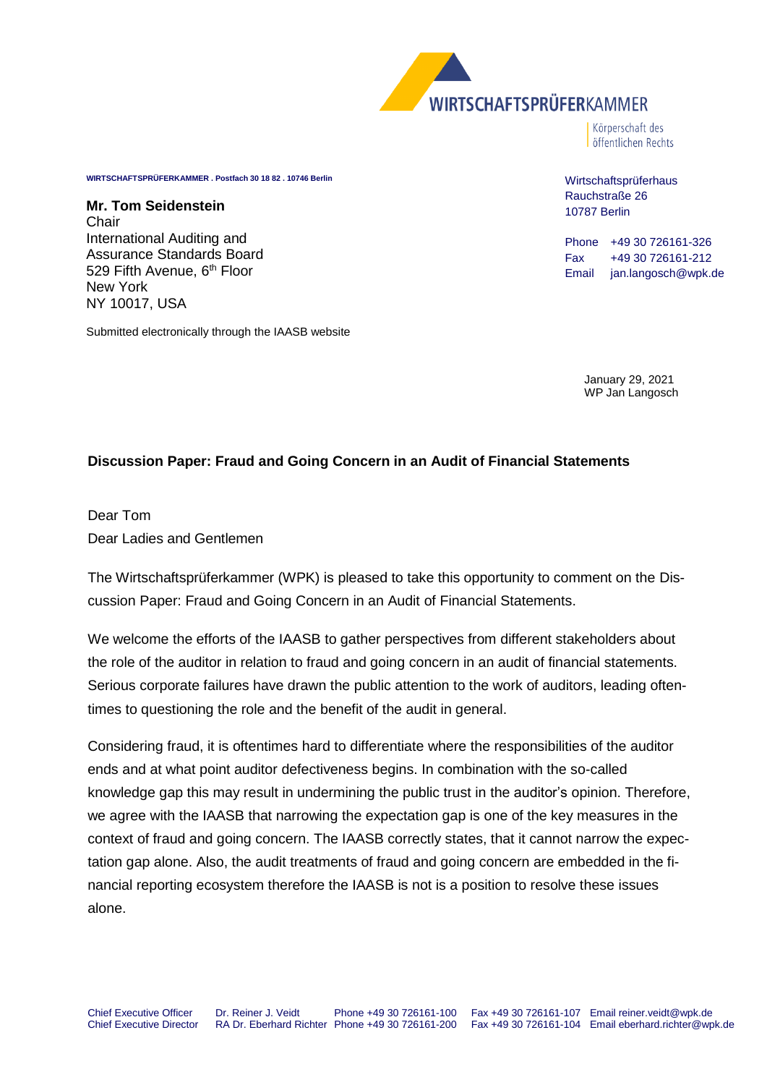

Körperschaft des öffentlichen Rechts

**WIRTSCHAFTSPRÜFERKAMMER . Postfach 30 18 82 . 10746 Berlin**

**Mr. Tom Seidenstein** Chair International Auditing and Assurance Standards Board 529 Fifth Avenue, 6<sup>th</sup> Floor New York NY 10017, USA

Submitted electronically through the IAASB website

Wirtschaftsprüferhaus Rauchstraße 26 10787 Berlin

Phone +49 30 726161-326 Fax +49 30 726161-212 Email jan.langosch@wpk.de

> January 29, 2021 WP Jan Langosch

### **Discussion Paper: Fraud and Going Concern in an Audit of Financial Statements**

Dear Tom Dear Ladies and Gentlemen

The Wirtschaftsprüferkammer (WPK) is pleased to take this opportunity to comment on the Discussion Paper: Fraud and Going Concern in an Audit of Financial Statements.

We welcome the efforts of the IAASB to gather perspectives from different stakeholders about the role of the auditor in relation to fraud and going concern in an audit of financial statements. Serious corporate failures have drawn the public attention to the work of auditors, leading oftentimes to questioning the role and the benefit of the audit in general.

Considering fraud, it is oftentimes hard to differentiate where the responsibilities of the auditor ends and at what point auditor defectiveness begins. In combination with the so-called knowledge gap this may result in undermining the public trust in the auditor's opinion. Therefore, we agree with the IAASB that narrowing the expectation gap is one of the key measures in the context of fraud and going concern. The IAASB correctly states, that it cannot narrow the expectation gap alone. Also, the audit treatments of fraud and going concern are embedded in the financial reporting ecosystem therefore the IAASB is not is a position to resolve these issues alone.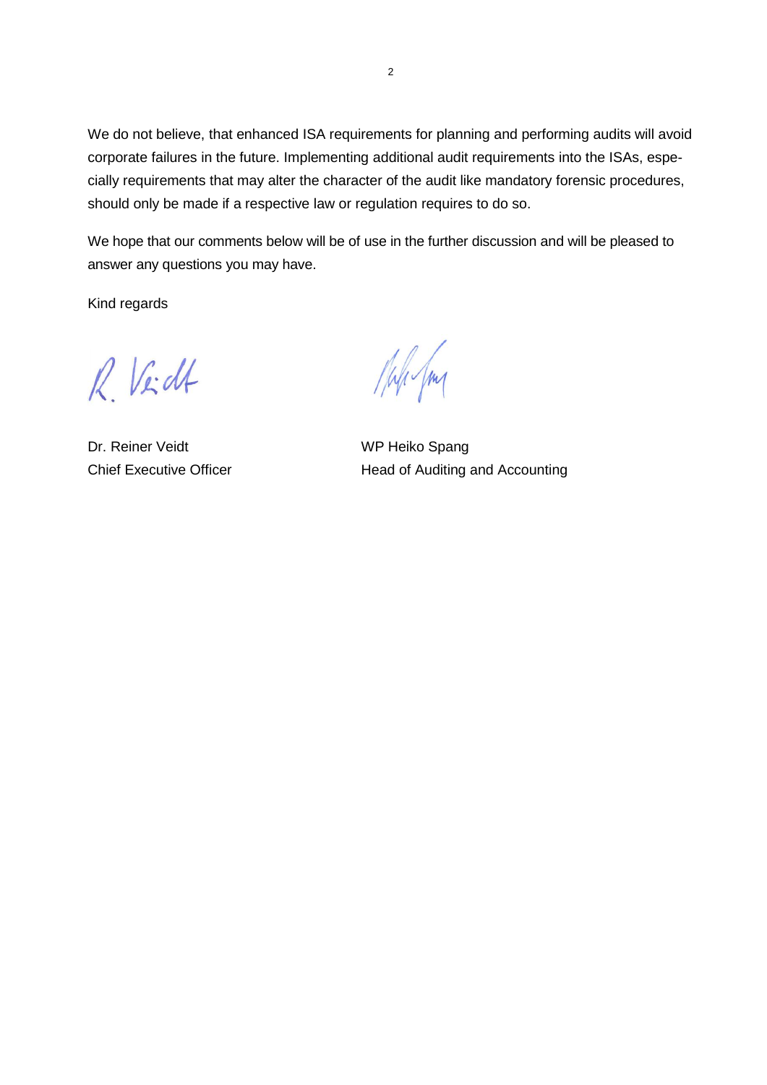We do not believe, that enhanced ISA requirements for planning and performing audits will avoid corporate failures in the future. Implementing additional audit requirements into the ISAs, especially requirements that may alter the character of the audit like mandatory forensic procedures, should only be made if a respective law or regulation requires to do so.

We hope that our comments below will be of use in the further discussion and will be pleased to answer any questions you may have.

Kind regards

R Veidt

Dr. Reiner Veidt WP Heiko Spang

Male Jm

Chief Executive Officer **Head of Auditing and Accounting**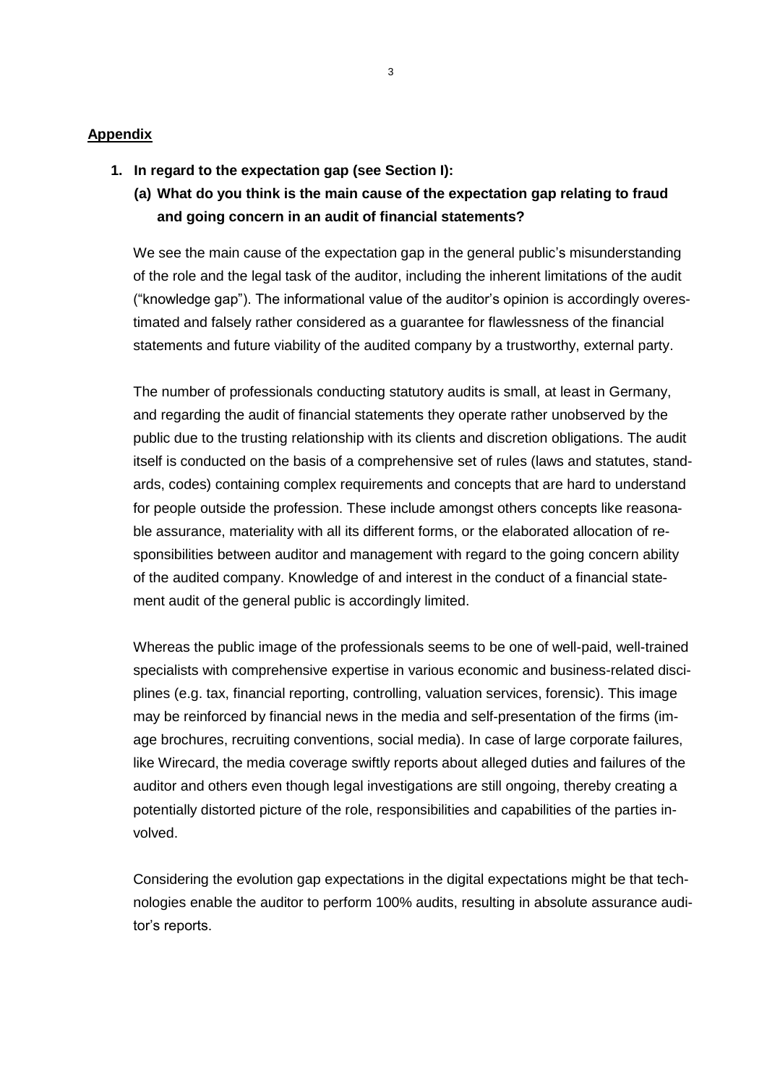#### **Appendix**

- **1. In regard to the expectation gap (see Section I):**
	- **(a) What do you think is the main cause of the expectation gap relating to fraud and going concern in an audit of financial statements?**

We see the main cause of the expectation gap in the general public's misunderstanding of the role and the legal task of the auditor, including the inherent limitations of the audit ("knowledge gap"). The informational value of the auditor's opinion is accordingly overestimated and falsely rather considered as a guarantee for flawlessness of the financial statements and future viability of the audited company by a trustworthy, external party.

The number of professionals conducting statutory audits is small, at least in Germany, and regarding the audit of financial statements they operate rather unobserved by the public due to the trusting relationship with its clients and discretion obligations. The audit itself is conducted on the basis of a comprehensive set of rules (laws and statutes, standards, codes) containing complex requirements and concepts that are hard to understand for people outside the profession. These include amongst others concepts like reasonable assurance, materiality with all its different forms, or the elaborated allocation of responsibilities between auditor and management with regard to the going concern ability of the audited company. Knowledge of and interest in the conduct of a financial statement audit of the general public is accordingly limited.

Whereas the public image of the professionals seems to be one of well-paid, well-trained specialists with comprehensive expertise in various economic and business-related disciplines (e.g. tax, financial reporting, controlling, valuation services, forensic). This image may be reinforced by financial news in the media and self-presentation of the firms (image brochures, recruiting conventions, social media). In case of large corporate failures, like Wirecard, the media coverage swiftly reports about alleged duties and failures of the auditor and others even though legal investigations are still ongoing, thereby creating a potentially distorted picture of the role, responsibilities and capabilities of the parties involved.

Considering the evolution gap expectations in the digital expectations might be that technologies enable the auditor to perform 100% audits, resulting in absolute assurance auditor's reports.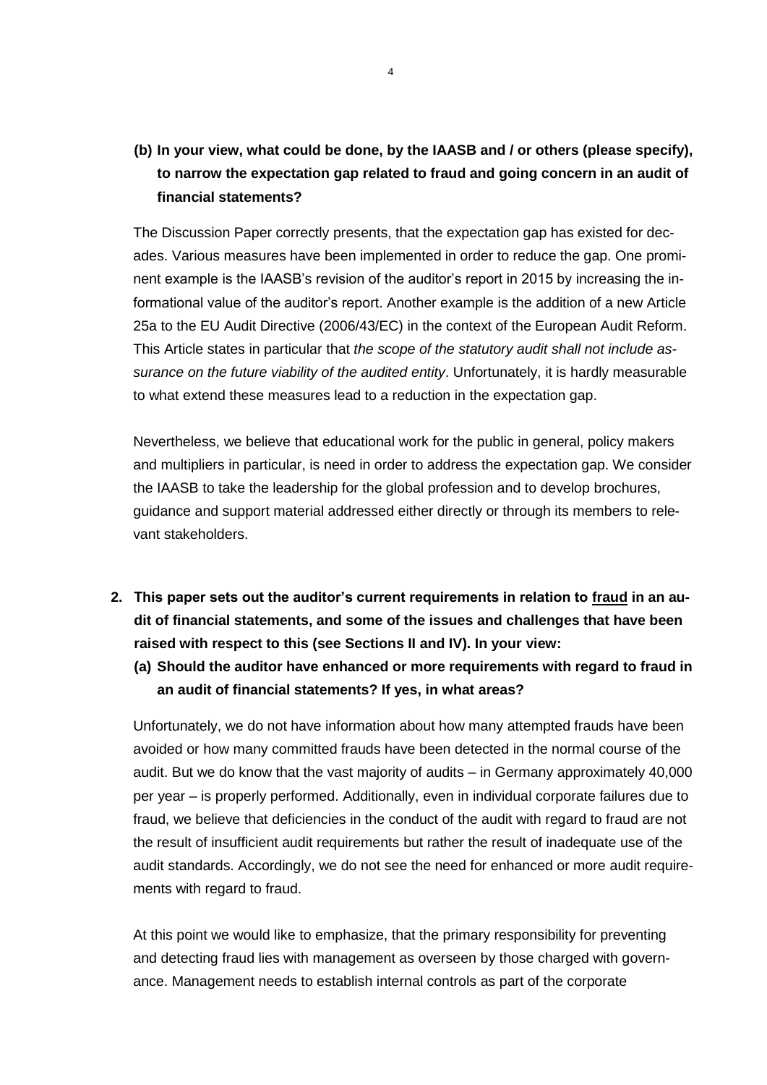# **(b) In your view, what could be done, by the IAASB and / or others (please specify), to narrow the expectation gap related to fraud and going concern in an audit of financial statements?**

The Discussion Paper correctly presents, that the expectation gap has existed for decades. Various measures have been implemented in order to reduce the gap. One prominent example is the IAASB's revision of the auditor's report in 2015 by increasing the informational value of the auditor's report. Another example is the addition of a new Article 25a to the EU Audit Directive (2006/43/EC) in the context of the European Audit Reform. This Article states in particular that *the scope of the statutory audit shall not include assurance on the future viability of the audited entity*. Unfortunately, it is hardly measurable to what extend these measures lead to a reduction in the expectation gap.

Nevertheless, we believe that educational work for the public in general, policy makers and multipliers in particular, is need in order to address the expectation gap. We consider the IAASB to take the leadership for the global profession and to develop brochures, guidance and support material addressed either directly or through its members to relevant stakeholders.

- **2. This paper sets out the auditor's current requirements in relation to fraud in an audit of financial statements, and some of the issues and challenges that have been raised with respect to this (see Sections II and IV). In your view:**
	- **(a) Should the auditor have enhanced or more requirements with regard to fraud in an audit of financial statements? If yes, in what areas?**

Unfortunately, we do not have information about how many attempted frauds have been avoided or how many committed frauds have been detected in the normal course of the audit. But we do know that the vast majority of audits – in Germany approximately 40,000 per year – is properly performed. Additionally, even in individual corporate failures due to fraud, we believe that deficiencies in the conduct of the audit with regard to fraud are not the result of insufficient audit requirements but rather the result of inadequate use of the audit standards. Accordingly, we do not see the need for enhanced or more audit requirements with regard to fraud.

At this point we would like to emphasize, that the primary responsibility for preventing and detecting fraud lies with management as overseen by those charged with governance. Management needs to establish internal controls as part of the corporate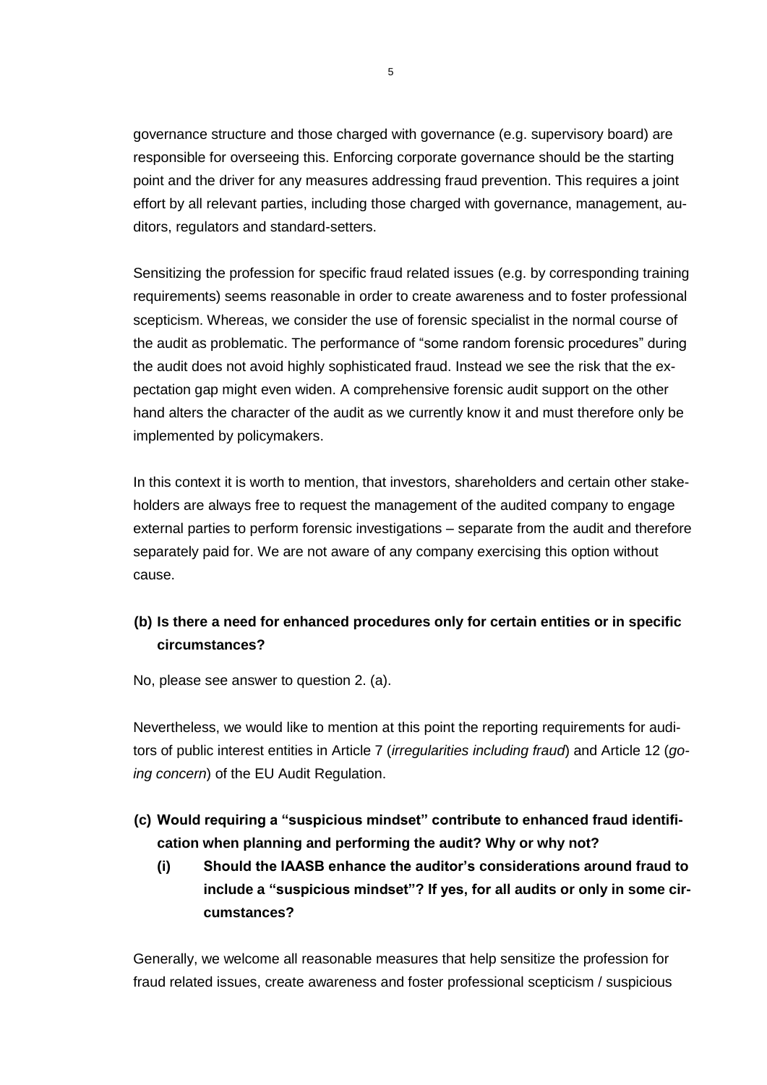governance structure and those charged with governance (e.g. supervisory board) are responsible for overseeing this. Enforcing corporate governance should be the starting point and the driver for any measures addressing fraud prevention. This requires a joint effort by all relevant parties, including those charged with governance, management, auditors, regulators and standard-setters.

Sensitizing the profession for specific fraud related issues (e.g. by corresponding training requirements) seems reasonable in order to create awareness and to foster professional scepticism. Whereas, we consider the use of forensic specialist in the normal course of the audit as problematic. The performance of "some random forensic procedures" during the audit does not avoid highly sophisticated fraud. Instead we see the risk that the expectation gap might even widen. A comprehensive forensic audit support on the other hand alters the character of the audit as we currently know it and must therefore only be implemented by policymakers.

In this context it is worth to mention, that investors, shareholders and certain other stakeholders are always free to request the management of the audited company to engage external parties to perform forensic investigations – separate from the audit and therefore separately paid for. We are not aware of any company exercising this option without cause.

## **(b) Is there a need for enhanced procedures only for certain entities or in specific circumstances?**

No, please see answer to question 2. (a).

Nevertheless, we would like to mention at this point the reporting requirements for auditors of public interest entities in Article 7 (*irregularities including fraud*) and Article 12 (*going concern*) of the EU Audit Regulation.

- **(c) Would requiring a "suspicious mindset" contribute to enhanced fraud identification when planning and performing the audit? Why or why not?**
	- **(i) Should the IAASB enhance the auditor's considerations around fraud to include a "suspicious mindset"? If yes, for all audits or only in some circumstances?**

Generally, we welcome all reasonable measures that help sensitize the profession for fraud related issues, create awareness and foster professional scepticism / suspicious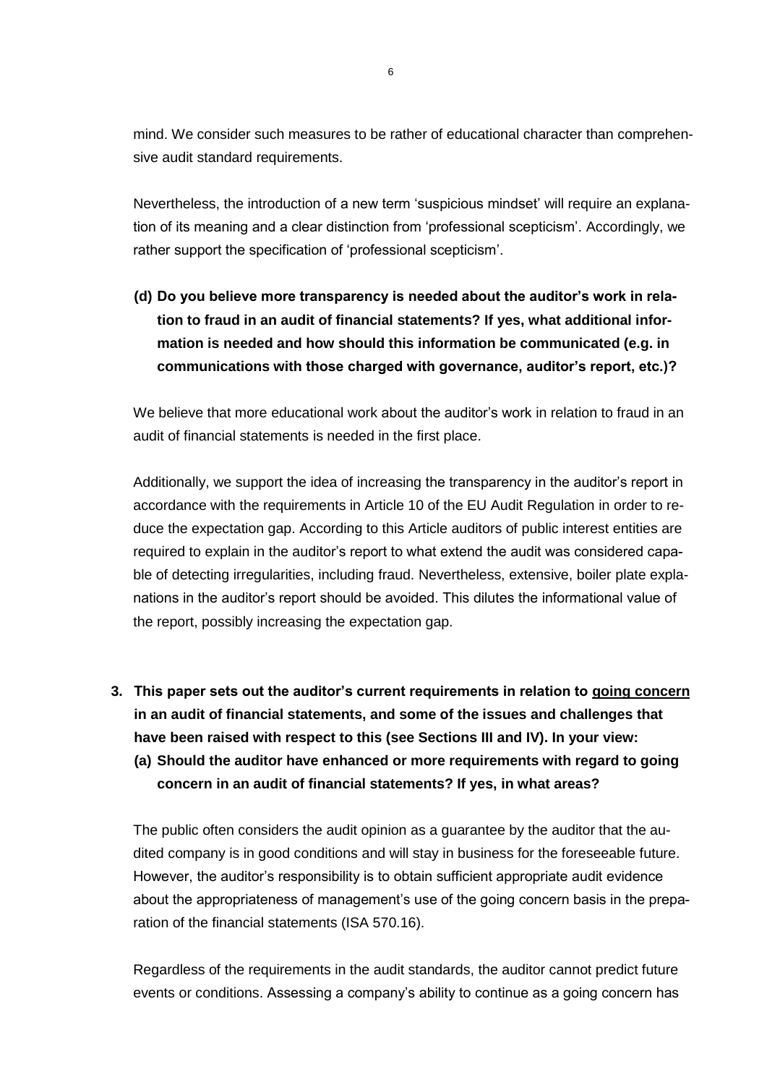mind. We consider such measures to be rather of educational character than comprehensive audit standard requirements.

Nevertheless, the introduction of a new term 'suspicious mindset' will require an explanation of its meaning and a clear distinction from 'professional scepticism'. Accordingly, we rather support the specification of 'professional scepticism'.

**(d) Do you believe more transparency is needed about the auditor's work in relation to fraud in an audit of financial statements? If yes, what additional information is needed and how should this information be communicated (e.g. in communications with those charged with governance, auditor's report, etc.)?**

We believe that more educational work about the auditor's work in relation to fraud in an audit of financial statements is needed in the first place.

Additionally, we support the idea of increasing the transparency in the auditor's report in accordance with the requirements in Article 10 of the EU Audit Regulation in order to reduce the expectation gap. According to this Article auditors of public interest entities are required to explain in the auditor's report to what extend the audit was considered capable of detecting irregularities, including fraud. Nevertheless, extensive, boiler plate explanations in the auditor's report should be avoided. This dilutes the informational value of the report, possibly increasing the expectation gap.

- **3. This paper sets out the auditor's current requirements in relation to going concern in an audit of financial statements, and some of the issues and challenges that have been raised with respect to this (see Sections III and IV). In your view:**
	- **(a) Should the auditor have enhanced or more requirements with regard to going concern in an audit of financial statements? If yes, in what areas?**

The public often considers the audit opinion as a guarantee by the auditor that the audited company is in good conditions and will stay in business for the foreseeable future. However, the auditor's responsibility is to obtain sufficient appropriate audit evidence about the appropriateness of management's use of the going concern basis in the preparation of the financial statements (ISA 570.16).

Regardless of the requirements in the audit standards, the auditor cannot predict future events or conditions. Assessing a company's ability to continue as a going concern has